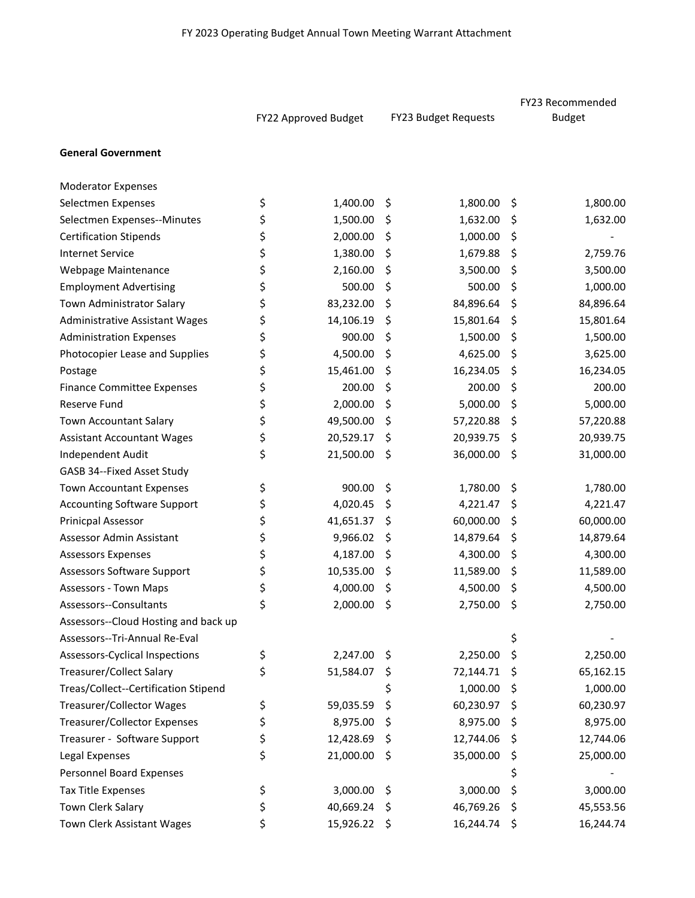|                                       | FY22 Approved Budget |              |     |                      |    | FY23 Recommended |  |  |
|---------------------------------------|----------------------|--------------|-----|----------------------|----|------------------|--|--|
|                                       |                      |              |     | FY23 Budget Requests |    | <b>Budget</b>    |  |  |
| <b>General Government</b>             |                      |              |     |                      |    |                  |  |  |
| <b>Moderator Expenses</b>             |                      |              |     |                      |    |                  |  |  |
| Selectmen Expenses                    | \$                   | 1,400.00     | \$  | 1,800.00             | \$ | 1,800.00         |  |  |
| Selectmen Expenses--Minutes           | \$                   | 1,500.00     | \$. | 1,632.00             | \$ | 1,632.00         |  |  |
| <b>Certification Stipends</b>         | \$                   | 2,000.00     | \$  | 1,000.00             | \$ |                  |  |  |
| <b>Internet Service</b>               | \$                   | 1,380.00     | \$  | 1,679.88             | \$ | 2,759.76         |  |  |
| Webpage Maintenance                   | \$                   | 2,160.00     | \$  | 3,500.00             | \$ | 3,500.00         |  |  |
| <b>Employment Advertising</b>         | \$                   | 500.00       | \$  | 500.00               | \$ | 1,000.00         |  |  |
| Town Administrator Salary             | \$                   | 83,232.00    | \$  | 84,896.64            | \$ | 84,896.64        |  |  |
| <b>Administrative Assistant Wages</b> | \$                   | 14,106.19    | \$. | 15,801.64            | \$ | 15,801.64        |  |  |
| <b>Administration Expenses</b>        | \$                   | 900.00       | \$  | 1,500.00             | \$ | 1,500.00         |  |  |
| Photocopier Lease and Supplies        | \$                   | 4,500.00     | \$  | 4,625.00             | \$ | 3,625.00         |  |  |
| Postage                               | \$                   | 15,461.00    | \$  | 16,234.05            | \$ | 16,234.05        |  |  |
| <b>Finance Committee Expenses</b>     | \$                   | 200.00       | \$  | 200.00               | \$ | 200.00           |  |  |
| Reserve Fund                          | \$                   | 2,000.00     | \$  | 5,000.00             | \$ | 5,000.00         |  |  |
| <b>Town Accountant Salary</b>         | \$                   | 49,500.00    | \$  | 57,220.88            | \$ | 57,220.88        |  |  |
| <b>Assistant Accountant Wages</b>     | \$                   | 20,529.17    | \$  | 20,939.75            | \$ | 20,939.75        |  |  |
| Independent Audit                     | \$                   | 21,500.00    | \$  | 36,000.00            | \$ | 31,000.00        |  |  |
| GASB 34--Fixed Asset Study            |                      |              |     |                      |    |                  |  |  |
| <b>Town Accountant Expenses</b>       | \$                   | 900.00       | \$  | 1,780.00             | \$ | 1,780.00         |  |  |
| <b>Accounting Software Support</b>    | \$                   | 4,020.45     | \$  | 4,221.47             | \$ | 4,221.47         |  |  |
| Prinicpal Assessor                    | \$                   | 41,651.37    | \$  | 60,000.00            | \$ | 60,000.00        |  |  |
| Assessor Admin Assistant              | \$                   | 9,966.02     | Ş   | 14,879.64            | \$ | 14,879.64        |  |  |
| <b>Assessors Expenses</b>             | \$                   | 4,187.00     | \$  | 4,300.00             | \$ | 4,300.00         |  |  |
| Assessors Software Support            | \$                   | 10,535.00    | \$  | 11,589.00            | \$ | 11,589.00        |  |  |
| Assessors - Town Maps                 | \$                   | 4,000.00     | \$. | 4,500.00             | \$ | 4,500.00         |  |  |
| Assessors--Consultants                | \$                   | 2,000.00 \$  |     | 2,750.00             | \$ | 2,750.00         |  |  |
| Assessors--Cloud Hosting and back up  |                      |              |     |                      |    |                  |  |  |
| Assessors--Tri-Annual Re-Eval         |                      |              |     |                      | \$ |                  |  |  |
| Assessors-Cyclical Inspections        | \$                   | 2,247.00     | \$  | 2,250.00             | \$ | 2,250.00         |  |  |
| Treasurer/Collect Salary              | \$                   | 51,584.07    | \$  | 72,144.71            | \$ | 65,162.15        |  |  |
| Treas/Collect--Certification Stipend  |                      |              | \$  | 1,000.00             | \$ | 1,000.00         |  |  |
| Treasurer/Collector Wages             | \$                   | 59,035.59    | \$  | 60,230.97            | \$ | 60,230.97        |  |  |
| Treasurer/Collector Expenses          | \$                   | 8,975.00     | \$  | 8,975.00             | \$ | 8,975.00         |  |  |
| Treasurer - Software Support          | \$                   | 12,428.69    | \$  | 12,744.06            | \$ | 12,744.06        |  |  |
| Legal Expenses                        | \$                   | 21,000.00    | \$  | 35,000.00            | \$ | 25,000.00        |  |  |
| Personnel Board Expenses              |                      |              |     |                      | \$ |                  |  |  |
| Tax Title Expenses                    | \$                   | 3,000.00     | \$  | 3,000.00             | \$ | 3,000.00         |  |  |
| Town Clerk Salary                     | \$                   | 40,669.24    | \$. | 46,769.26            | \$ | 45,553.56        |  |  |
| Town Clerk Assistant Wages            | \$                   | 15,926.22 \$ |     | 16,244.74 \$         |    | 16,244.74        |  |  |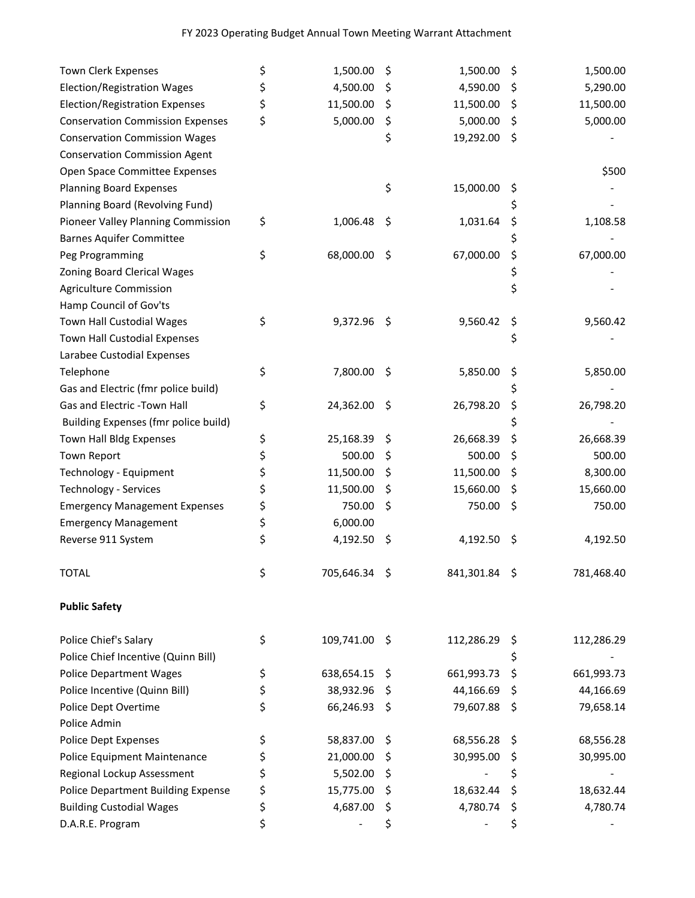| Town Clerk Expenses                       | \$<br>1,500.00      | \$  | 1,500.00      | \$  | 1,500.00   |
|-------------------------------------------|---------------------|-----|---------------|-----|------------|
| Election/Registration Wages               | \$<br>4,500.00      | \$  | 4,590.00      | \$  | 5,290.00   |
| <b>Election/Registration Expenses</b>     | \$<br>11,500.00     | \$  | 11,500.00     | \$  | 11,500.00  |
| <b>Conservation Commission Expenses</b>   | \$<br>5,000.00      | \$  | 5,000.00      | \$  | 5,000.00   |
| <b>Conservation Commission Wages</b>      |                     | \$  | 19,292.00     | \$  |            |
| <b>Conservation Commission Agent</b>      |                     |     |               |     |            |
| Open Space Committee Expenses             |                     |     |               |     | \$500      |
| <b>Planning Board Expenses</b>            |                     | \$  | 15,000.00     | \$  |            |
| Planning Board (Revolving Fund)           |                     |     |               | \$  |            |
| Pioneer Valley Planning Commission        | \$<br>1,006.48      | \$  | 1,031.64      | \$  | 1,108.58   |
| <b>Barnes Aquifer Committee</b>           |                     |     |               | \$  |            |
| Peg Programming                           | \$<br>68,000.00     | \$  | 67,000.00     | \$  | 67,000.00  |
| Zoning Board Clerical Wages               |                     |     |               | \$  |            |
| <b>Agriculture Commission</b>             |                     |     |               | \$  |            |
| Hamp Council of Gov'ts                    |                     |     |               |     |            |
| Town Hall Custodial Wages                 | \$<br>9,372.96      | -\$ | 9,560.42      | \$  | 9,560.42   |
| Town Hall Custodial Expenses              |                     |     |               | \$  |            |
| Larabee Custodial Expenses                |                     |     |               |     |            |
| Telephone                                 | \$<br>7,800.00      | \$  | 5,850.00      | \$  | 5,850.00   |
| Gas and Electric (fmr police build)       |                     |     |               | \$  |            |
| Gas and Electric -Town Hall               | \$<br>24,362.00     | \$  | 26,798.20     | \$  | 26,798.20  |
| Building Expenses (fmr police build)      |                     |     |               | \$  |            |
| Town Hall Bldg Expenses                   | \$<br>25,168.39     | \$  | 26,668.39     | \$  | 26,668.39  |
| Town Report                               | \$<br>500.00        | \$  | 500.00        | \$  | 500.00     |
| Technology - Equipment                    | \$<br>11,500.00     | \$  | 11,500.00     | \$  | 8,300.00   |
| <b>Technology - Services</b>              | \$<br>11,500.00     | \$  | 15,660.00     | \$  | 15,660.00  |
| <b>Emergency Management Expenses</b>      | \$<br>750.00        | \$  | 750.00        | \$  | 750.00     |
| <b>Emergency Management</b>               | \$<br>6,000.00      |     |               |     |            |
| Reverse 911 System                        | \$<br>4,192.50      | \$  | 4,192.50      | \$  | 4,192.50   |
| <b>TOTAL</b>                              | \$<br>705,646.34 \$ |     | 841,301.84 \$ |     | 781,468.40 |
| <b>Public Safety</b>                      |                     |     |               |     |            |
| Police Chief's Salary                     | \$<br>109,741.00    | -\$ | 112,286.29    | \$. | 112,286.29 |
| Police Chief Incentive (Quinn Bill)       |                     |     |               | \$  |            |
| <b>Police Department Wages</b>            | \$<br>638,654.15    | \$  | 661,993.73    | \$  | 661,993.73 |
| Police Incentive (Quinn Bill)             | \$<br>38,932.96     | S   | 44,166.69     | \$  | 44,166.69  |
| Police Dept Overtime                      | \$<br>66,246.93     | \$  | 79,607.88     | \$  | 79,658.14  |
| Police Admin                              |                     |     |               |     |            |
| Police Dept Expenses                      | \$<br>58,837.00     | \$  | 68,556.28     | \$  | 68,556.28  |
| Police Equipment Maintenance              | \$<br>21,000.00     | Ş   | 30,995.00     | Ş   | 30,995.00  |
| Regional Lockup Assessment                | \$<br>5,502.00      | \$, |               | \$  |            |
| <b>Police Department Building Expense</b> | \$<br>15,775.00     | Ş   | 18,632.44     | \$  | 18,632.44  |
| <b>Building Custodial Wages</b>           | \$<br>4,687.00      | \$  | 4,780.74      | \$  | 4,780.74   |
| D.A.R.E. Program                          | \$                  | \$  |               | \$  |            |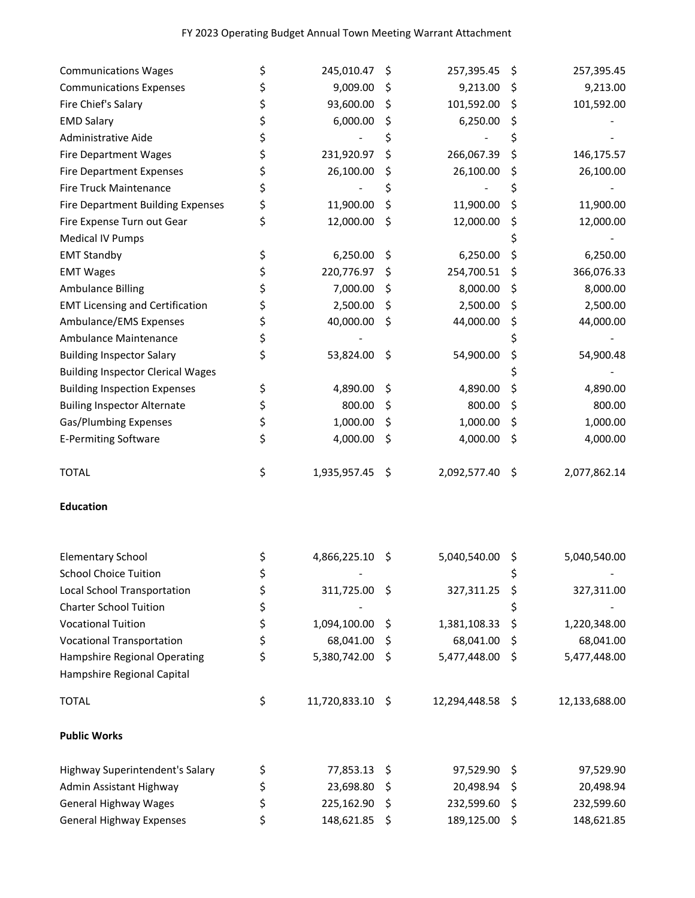| <b>Communications Expenses</b><br>\$<br>9,009.00<br>\$<br>9,213.00<br>\$<br>9,213.00<br>\$<br>93,600.00<br>101,592.00<br>\$<br>101,592.00<br>Fire Chief's Salary<br>Ş<br>\$<br>6,000.00<br><b>EMD Salary</b><br>\$<br>6,250.00<br>\$<br>\$<br>\$<br>\$<br>Administrative Aide<br>\$<br>231,920.97<br>266,067.39<br><b>Fire Department Wages</b><br>\$<br>\$<br>146,175.57<br>\$<br>26,100.00<br>26,100.00<br>Fire Department Expenses<br>26,100.00<br>\$<br>Ş<br>\$<br>Fire Truck Maintenance<br>\$<br>\$<br>\$<br>11,900.00<br>\$<br>Fire Department Building Expenses<br>\$<br>11,900.00<br>11,900.00<br>\$<br>Fire Expense Turn out Gear<br>12,000.00<br>12,000.00<br>12,000.00<br>\$<br>Ş<br><b>Medical IV Pumps</b><br>\$<br>\$<br>6,250.00<br>6,250.00<br><b>EMT Standby</b><br>\$<br>6,250.00<br>\$<br>220,776.97<br>366,076.33<br><b>EMT Wages</b><br>254,700.51<br>\$<br>Ş<br>\$<br>7,000.00<br>\$<br><b>Ambulance Billing</b><br>8,000.00<br>8,000.00<br>\$<br>\$<br><b>EMT Licensing and Certification</b><br>2,500.00<br>2,500.00<br>\$<br>2,500.00<br>\$<br>\$<br>40,000.00<br>\$<br>Ambulance/EMS Expenses<br>44,000.00<br>44,000.00<br>\$<br>\$<br>Ambulance Maintenance<br>\$<br>\$<br>\$<br><b>Building Inspector Salary</b><br>53,824.00<br>\$<br>54,900.00<br>54,900.48<br><b>Building Inspector Clerical Wages</b><br>\$<br>\$<br><b>Building Inspection Expenses</b><br>4,890.00<br>\$<br>4,890.00<br>4,890.00<br>\$<br>800.00<br>800.00<br>\$<br>800.00<br><b>Builing Inspector Alternate</b><br>\$<br>\$<br>1,000.00<br>1,000.00<br>1,000.00<br>Gas/Plumbing Expenses<br>\$<br>\$<br>\$<br><b>E-Permiting Software</b><br>4,000.00<br>4,000.00<br>\$<br>4,000.00<br>\$<br>\$<br>1,935,957.45<br>2,092,577.40<br>2,077,862.14<br><b>TOTAL</b><br>-\$<br>-\$<br><b>Education</b><br>4,866,225.10<br>5,040,540.00<br><b>Elementary School</b><br>\$,<br>5,040,540.00<br>\$<br>Ş<br><b>School Choice Tuition</b><br>\$<br>Ş<br>\$<br>Local School Transportation<br>311,725.00 \$<br>\$<br>327,311.00<br>327,311.25<br>\$<br><b>Charter School Tuition</b><br>\$<br>\$<br><b>Vocational Tuition</b><br>1,094,100.00<br>1,381,108.33<br>\$<br>1,220,348.00<br>\$<br>\$<br><b>Vocational Transportation</b><br>68,041.00<br>\$<br>68,041.00<br>\$<br>68,041.00<br>\$<br>Hampshire Regional Operating<br>5,380,742.00<br>5,477,448.00<br>\$<br>5,477,448.00<br>\$<br>Hampshire Regional Capital<br>\$<br>11,720,833.10 \$<br>12,294,448.58 \$<br><b>TOTAL</b><br>12,133,688.00<br><b>Public Works</b><br>\$<br>Highway Superintendent's Salary<br>77,853.13<br>97,529.90<br>97,529.90<br>\$<br>\$<br>\$<br>Admin Assistant Highway<br>23,698.80<br>20,498.94<br>\$<br>20,498.94<br>\$.<br>\$<br><b>General Highway Wages</b><br>225,162.90<br>232,599.60<br>\$<br>232,599.60<br>\$<br>\$<br><b>General Highway Expenses</b><br>148,621.85<br>189,125.00<br>\$<br>148,621.85<br>\$ | <b>Communications Wages</b> | \$<br>245,010.47 | \$<br>257,395.45 | \$<br>257,395.45 |
|---------------------------------------------------------------------------------------------------------------------------------------------------------------------------------------------------------------------------------------------------------------------------------------------------------------------------------------------------------------------------------------------------------------------------------------------------------------------------------------------------------------------------------------------------------------------------------------------------------------------------------------------------------------------------------------------------------------------------------------------------------------------------------------------------------------------------------------------------------------------------------------------------------------------------------------------------------------------------------------------------------------------------------------------------------------------------------------------------------------------------------------------------------------------------------------------------------------------------------------------------------------------------------------------------------------------------------------------------------------------------------------------------------------------------------------------------------------------------------------------------------------------------------------------------------------------------------------------------------------------------------------------------------------------------------------------------------------------------------------------------------------------------------------------------------------------------------------------------------------------------------------------------------------------------------------------------------------------------------------------------------------------------------------------------------------------------------------------------------------------------------------------------------------------------------------------------------------------------------------------------------------------------------------------------------------------------------------------------------------------------------------------------------------------------------------------------------------------------------------------------------------------------------------------------------------------------------------------------------------------------------------------------------------------------------------------------------------------------------------------------------------------------------------------------------------------------------------------------------------------------------------------------|-----------------------------|------------------|------------------|------------------|
|                                                                                                                                                                                                                                                                                                                                                                                                                                                                                                                                                                                                                                                                                                                                                                                                                                                                                                                                                                                                                                                                                                                                                                                                                                                                                                                                                                                                                                                                                                                                                                                                                                                                                                                                                                                                                                                                                                                                                                                                                                                                                                                                                                                                                                                                                                                                                                                                                                                                                                                                                                                                                                                                                                                                                                                                                                                                                                   |                             |                  |                  |                  |
|                                                                                                                                                                                                                                                                                                                                                                                                                                                                                                                                                                                                                                                                                                                                                                                                                                                                                                                                                                                                                                                                                                                                                                                                                                                                                                                                                                                                                                                                                                                                                                                                                                                                                                                                                                                                                                                                                                                                                                                                                                                                                                                                                                                                                                                                                                                                                                                                                                                                                                                                                                                                                                                                                                                                                                                                                                                                                                   |                             |                  |                  |                  |
|                                                                                                                                                                                                                                                                                                                                                                                                                                                                                                                                                                                                                                                                                                                                                                                                                                                                                                                                                                                                                                                                                                                                                                                                                                                                                                                                                                                                                                                                                                                                                                                                                                                                                                                                                                                                                                                                                                                                                                                                                                                                                                                                                                                                                                                                                                                                                                                                                                                                                                                                                                                                                                                                                                                                                                                                                                                                                                   |                             |                  |                  |                  |
|                                                                                                                                                                                                                                                                                                                                                                                                                                                                                                                                                                                                                                                                                                                                                                                                                                                                                                                                                                                                                                                                                                                                                                                                                                                                                                                                                                                                                                                                                                                                                                                                                                                                                                                                                                                                                                                                                                                                                                                                                                                                                                                                                                                                                                                                                                                                                                                                                                                                                                                                                                                                                                                                                                                                                                                                                                                                                                   |                             |                  |                  |                  |
|                                                                                                                                                                                                                                                                                                                                                                                                                                                                                                                                                                                                                                                                                                                                                                                                                                                                                                                                                                                                                                                                                                                                                                                                                                                                                                                                                                                                                                                                                                                                                                                                                                                                                                                                                                                                                                                                                                                                                                                                                                                                                                                                                                                                                                                                                                                                                                                                                                                                                                                                                                                                                                                                                                                                                                                                                                                                                                   |                             |                  |                  |                  |
|                                                                                                                                                                                                                                                                                                                                                                                                                                                                                                                                                                                                                                                                                                                                                                                                                                                                                                                                                                                                                                                                                                                                                                                                                                                                                                                                                                                                                                                                                                                                                                                                                                                                                                                                                                                                                                                                                                                                                                                                                                                                                                                                                                                                                                                                                                                                                                                                                                                                                                                                                                                                                                                                                                                                                                                                                                                                                                   |                             |                  |                  |                  |
|                                                                                                                                                                                                                                                                                                                                                                                                                                                                                                                                                                                                                                                                                                                                                                                                                                                                                                                                                                                                                                                                                                                                                                                                                                                                                                                                                                                                                                                                                                                                                                                                                                                                                                                                                                                                                                                                                                                                                                                                                                                                                                                                                                                                                                                                                                                                                                                                                                                                                                                                                                                                                                                                                                                                                                                                                                                                                                   |                             |                  |                  |                  |
|                                                                                                                                                                                                                                                                                                                                                                                                                                                                                                                                                                                                                                                                                                                                                                                                                                                                                                                                                                                                                                                                                                                                                                                                                                                                                                                                                                                                                                                                                                                                                                                                                                                                                                                                                                                                                                                                                                                                                                                                                                                                                                                                                                                                                                                                                                                                                                                                                                                                                                                                                                                                                                                                                                                                                                                                                                                                                                   |                             |                  |                  |                  |
|                                                                                                                                                                                                                                                                                                                                                                                                                                                                                                                                                                                                                                                                                                                                                                                                                                                                                                                                                                                                                                                                                                                                                                                                                                                                                                                                                                                                                                                                                                                                                                                                                                                                                                                                                                                                                                                                                                                                                                                                                                                                                                                                                                                                                                                                                                                                                                                                                                                                                                                                                                                                                                                                                                                                                                                                                                                                                                   |                             |                  |                  |                  |
|                                                                                                                                                                                                                                                                                                                                                                                                                                                                                                                                                                                                                                                                                                                                                                                                                                                                                                                                                                                                                                                                                                                                                                                                                                                                                                                                                                                                                                                                                                                                                                                                                                                                                                                                                                                                                                                                                                                                                                                                                                                                                                                                                                                                                                                                                                                                                                                                                                                                                                                                                                                                                                                                                                                                                                                                                                                                                                   |                             |                  |                  |                  |
|                                                                                                                                                                                                                                                                                                                                                                                                                                                                                                                                                                                                                                                                                                                                                                                                                                                                                                                                                                                                                                                                                                                                                                                                                                                                                                                                                                                                                                                                                                                                                                                                                                                                                                                                                                                                                                                                                                                                                                                                                                                                                                                                                                                                                                                                                                                                                                                                                                                                                                                                                                                                                                                                                                                                                                                                                                                                                                   |                             |                  |                  |                  |
|                                                                                                                                                                                                                                                                                                                                                                                                                                                                                                                                                                                                                                                                                                                                                                                                                                                                                                                                                                                                                                                                                                                                                                                                                                                                                                                                                                                                                                                                                                                                                                                                                                                                                                                                                                                                                                                                                                                                                                                                                                                                                                                                                                                                                                                                                                                                                                                                                                                                                                                                                                                                                                                                                                                                                                                                                                                                                                   |                             |                  |                  |                  |
|                                                                                                                                                                                                                                                                                                                                                                                                                                                                                                                                                                                                                                                                                                                                                                                                                                                                                                                                                                                                                                                                                                                                                                                                                                                                                                                                                                                                                                                                                                                                                                                                                                                                                                                                                                                                                                                                                                                                                                                                                                                                                                                                                                                                                                                                                                                                                                                                                                                                                                                                                                                                                                                                                                                                                                                                                                                                                                   |                             |                  |                  |                  |
|                                                                                                                                                                                                                                                                                                                                                                                                                                                                                                                                                                                                                                                                                                                                                                                                                                                                                                                                                                                                                                                                                                                                                                                                                                                                                                                                                                                                                                                                                                                                                                                                                                                                                                                                                                                                                                                                                                                                                                                                                                                                                                                                                                                                                                                                                                                                                                                                                                                                                                                                                                                                                                                                                                                                                                                                                                                                                                   |                             |                  |                  |                  |
|                                                                                                                                                                                                                                                                                                                                                                                                                                                                                                                                                                                                                                                                                                                                                                                                                                                                                                                                                                                                                                                                                                                                                                                                                                                                                                                                                                                                                                                                                                                                                                                                                                                                                                                                                                                                                                                                                                                                                                                                                                                                                                                                                                                                                                                                                                                                                                                                                                                                                                                                                                                                                                                                                                                                                                                                                                                                                                   |                             |                  |                  |                  |
|                                                                                                                                                                                                                                                                                                                                                                                                                                                                                                                                                                                                                                                                                                                                                                                                                                                                                                                                                                                                                                                                                                                                                                                                                                                                                                                                                                                                                                                                                                                                                                                                                                                                                                                                                                                                                                                                                                                                                                                                                                                                                                                                                                                                                                                                                                                                                                                                                                                                                                                                                                                                                                                                                                                                                                                                                                                                                                   |                             |                  |                  |                  |
|                                                                                                                                                                                                                                                                                                                                                                                                                                                                                                                                                                                                                                                                                                                                                                                                                                                                                                                                                                                                                                                                                                                                                                                                                                                                                                                                                                                                                                                                                                                                                                                                                                                                                                                                                                                                                                                                                                                                                                                                                                                                                                                                                                                                                                                                                                                                                                                                                                                                                                                                                                                                                                                                                                                                                                                                                                                                                                   |                             |                  |                  |                  |
|                                                                                                                                                                                                                                                                                                                                                                                                                                                                                                                                                                                                                                                                                                                                                                                                                                                                                                                                                                                                                                                                                                                                                                                                                                                                                                                                                                                                                                                                                                                                                                                                                                                                                                                                                                                                                                                                                                                                                                                                                                                                                                                                                                                                                                                                                                                                                                                                                                                                                                                                                                                                                                                                                                                                                                                                                                                                                                   |                             |                  |                  |                  |
|                                                                                                                                                                                                                                                                                                                                                                                                                                                                                                                                                                                                                                                                                                                                                                                                                                                                                                                                                                                                                                                                                                                                                                                                                                                                                                                                                                                                                                                                                                                                                                                                                                                                                                                                                                                                                                                                                                                                                                                                                                                                                                                                                                                                                                                                                                                                                                                                                                                                                                                                                                                                                                                                                                                                                                                                                                                                                                   |                             |                  |                  |                  |
|                                                                                                                                                                                                                                                                                                                                                                                                                                                                                                                                                                                                                                                                                                                                                                                                                                                                                                                                                                                                                                                                                                                                                                                                                                                                                                                                                                                                                                                                                                                                                                                                                                                                                                                                                                                                                                                                                                                                                                                                                                                                                                                                                                                                                                                                                                                                                                                                                                                                                                                                                                                                                                                                                                                                                                                                                                                                                                   |                             |                  |                  |                  |
|                                                                                                                                                                                                                                                                                                                                                                                                                                                                                                                                                                                                                                                                                                                                                                                                                                                                                                                                                                                                                                                                                                                                                                                                                                                                                                                                                                                                                                                                                                                                                                                                                                                                                                                                                                                                                                                                                                                                                                                                                                                                                                                                                                                                                                                                                                                                                                                                                                                                                                                                                                                                                                                                                                                                                                                                                                                                                                   |                             |                  |                  |                  |
|                                                                                                                                                                                                                                                                                                                                                                                                                                                                                                                                                                                                                                                                                                                                                                                                                                                                                                                                                                                                                                                                                                                                                                                                                                                                                                                                                                                                                                                                                                                                                                                                                                                                                                                                                                                                                                                                                                                                                                                                                                                                                                                                                                                                                                                                                                                                                                                                                                                                                                                                                                                                                                                                                                                                                                                                                                                                                                   |                             |                  |                  |                  |
|                                                                                                                                                                                                                                                                                                                                                                                                                                                                                                                                                                                                                                                                                                                                                                                                                                                                                                                                                                                                                                                                                                                                                                                                                                                                                                                                                                                                                                                                                                                                                                                                                                                                                                                                                                                                                                                                                                                                                                                                                                                                                                                                                                                                                                                                                                                                                                                                                                                                                                                                                                                                                                                                                                                                                                                                                                                                                                   |                             |                  |                  |                  |
|                                                                                                                                                                                                                                                                                                                                                                                                                                                                                                                                                                                                                                                                                                                                                                                                                                                                                                                                                                                                                                                                                                                                                                                                                                                                                                                                                                                                                                                                                                                                                                                                                                                                                                                                                                                                                                                                                                                                                                                                                                                                                                                                                                                                                                                                                                                                                                                                                                                                                                                                                                                                                                                                                                                                                                                                                                                                                                   |                             |                  |                  |                  |
|                                                                                                                                                                                                                                                                                                                                                                                                                                                                                                                                                                                                                                                                                                                                                                                                                                                                                                                                                                                                                                                                                                                                                                                                                                                                                                                                                                                                                                                                                                                                                                                                                                                                                                                                                                                                                                                                                                                                                                                                                                                                                                                                                                                                                                                                                                                                                                                                                                                                                                                                                                                                                                                                                                                                                                                                                                                                                                   |                             |                  |                  |                  |
|                                                                                                                                                                                                                                                                                                                                                                                                                                                                                                                                                                                                                                                                                                                                                                                                                                                                                                                                                                                                                                                                                                                                                                                                                                                                                                                                                                                                                                                                                                                                                                                                                                                                                                                                                                                                                                                                                                                                                                                                                                                                                                                                                                                                                                                                                                                                                                                                                                                                                                                                                                                                                                                                                                                                                                                                                                                                                                   |                             |                  |                  |                  |
|                                                                                                                                                                                                                                                                                                                                                                                                                                                                                                                                                                                                                                                                                                                                                                                                                                                                                                                                                                                                                                                                                                                                                                                                                                                                                                                                                                                                                                                                                                                                                                                                                                                                                                                                                                                                                                                                                                                                                                                                                                                                                                                                                                                                                                                                                                                                                                                                                                                                                                                                                                                                                                                                                                                                                                                                                                                                                                   |                             |                  |                  |                  |
|                                                                                                                                                                                                                                                                                                                                                                                                                                                                                                                                                                                                                                                                                                                                                                                                                                                                                                                                                                                                                                                                                                                                                                                                                                                                                                                                                                                                                                                                                                                                                                                                                                                                                                                                                                                                                                                                                                                                                                                                                                                                                                                                                                                                                                                                                                                                                                                                                                                                                                                                                                                                                                                                                                                                                                                                                                                                                                   |                             |                  |                  |                  |
|                                                                                                                                                                                                                                                                                                                                                                                                                                                                                                                                                                                                                                                                                                                                                                                                                                                                                                                                                                                                                                                                                                                                                                                                                                                                                                                                                                                                                                                                                                                                                                                                                                                                                                                                                                                                                                                                                                                                                                                                                                                                                                                                                                                                                                                                                                                                                                                                                                                                                                                                                                                                                                                                                                                                                                                                                                                                                                   |                             |                  |                  |                  |
|                                                                                                                                                                                                                                                                                                                                                                                                                                                                                                                                                                                                                                                                                                                                                                                                                                                                                                                                                                                                                                                                                                                                                                                                                                                                                                                                                                                                                                                                                                                                                                                                                                                                                                                                                                                                                                                                                                                                                                                                                                                                                                                                                                                                                                                                                                                                                                                                                                                                                                                                                                                                                                                                                                                                                                                                                                                                                                   |                             |                  |                  |                  |
|                                                                                                                                                                                                                                                                                                                                                                                                                                                                                                                                                                                                                                                                                                                                                                                                                                                                                                                                                                                                                                                                                                                                                                                                                                                                                                                                                                                                                                                                                                                                                                                                                                                                                                                                                                                                                                                                                                                                                                                                                                                                                                                                                                                                                                                                                                                                                                                                                                                                                                                                                                                                                                                                                                                                                                                                                                                                                                   |                             |                  |                  |                  |
|                                                                                                                                                                                                                                                                                                                                                                                                                                                                                                                                                                                                                                                                                                                                                                                                                                                                                                                                                                                                                                                                                                                                                                                                                                                                                                                                                                                                                                                                                                                                                                                                                                                                                                                                                                                                                                                                                                                                                                                                                                                                                                                                                                                                                                                                                                                                                                                                                                                                                                                                                                                                                                                                                                                                                                                                                                                                                                   |                             |                  |                  |                  |
|                                                                                                                                                                                                                                                                                                                                                                                                                                                                                                                                                                                                                                                                                                                                                                                                                                                                                                                                                                                                                                                                                                                                                                                                                                                                                                                                                                                                                                                                                                                                                                                                                                                                                                                                                                                                                                                                                                                                                                                                                                                                                                                                                                                                                                                                                                                                                                                                                                                                                                                                                                                                                                                                                                                                                                                                                                                                                                   |                             |                  |                  |                  |
|                                                                                                                                                                                                                                                                                                                                                                                                                                                                                                                                                                                                                                                                                                                                                                                                                                                                                                                                                                                                                                                                                                                                                                                                                                                                                                                                                                                                                                                                                                                                                                                                                                                                                                                                                                                                                                                                                                                                                                                                                                                                                                                                                                                                                                                                                                                                                                                                                                                                                                                                                                                                                                                                                                                                                                                                                                                                                                   |                             |                  |                  |                  |
|                                                                                                                                                                                                                                                                                                                                                                                                                                                                                                                                                                                                                                                                                                                                                                                                                                                                                                                                                                                                                                                                                                                                                                                                                                                                                                                                                                                                                                                                                                                                                                                                                                                                                                                                                                                                                                                                                                                                                                                                                                                                                                                                                                                                                                                                                                                                                                                                                                                                                                                                                                                                                                                                                                                                                                                                                                                                                                   |                             |                  |                  |                  |
|                                                                                                                                                                                                                                                                                                                                                                                                                                                                                                                                                                                                                                                                                                                                                                                                                                                                                                                                                                                                                                                                                                                                                                                                                                                                                                                                                                                                                                                                                                                                                                                                                                                                                                                                                                                                                                                                                                                                                                                                                                                                                                                                                                                                                                                                                                                                                                                                                                                                                                                                                                                                                                                                                                                                                                                                                                                                                                   |                             |                  |                  |                  |
|                                                                                                                                                                                                                                                                                                                                                                                                                                                                                                                                                                                                                                                                                                                                                                                                                                                                                                                                                                                                                                                                                                                                                                                                                                                                                                                                                                                                                                                                                                                                                                                                                                                                                                                                                                                                                                                                                                                                                                                                                                                                                                                                                                                                                                                                                                                                                                                                                                                                                                                                                                                                                                                                                                                                                                                                                                                                                                   |                             |                  |                  |                  |
|                                                                                                                                                                                                                                                                                                                                                                                                                                                                                                                                                                                                                                                                                                                                                                                                                                                                                                                                                                                                                                                                                                                                                                                                                                                                                                                                                                                                                                                                                                                                                                                                                                                                                                                                                                                                                                                                                                                                                                                                                                                                                                                                                                                                                                                                                                                                                                                                                                                                                                                                                                                                                                                                                                                                                                                                                                                                                                   |                             |                  |                  |                  |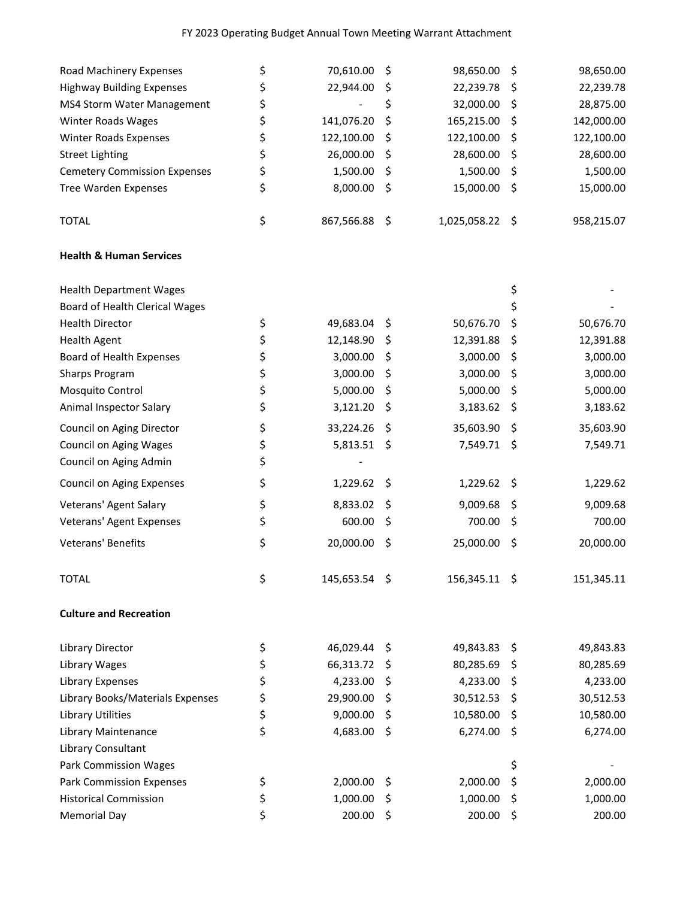## FY 2023 Operating Budget Annual Town Meeting Warrant Attachment

| Road Machinery Expenses             | \$<br>70,610.00     | \$  | 98,650.00     | \$  | 98,650.00  |
|-------------------------------------|---------------------|-----|---------------|-----|------------|
| <b>Highway Building Expenses</b>    | \$<br>22,944.00     | \$  | 22,239.78     | \$  | 22,239.78  |
| MS4 Storm Water Management          | \$                  | \$  | 32,000.00     | \$  | 28,875.00  |
| Winter Roads Wages                  | \$<br>141,076.20    | \$  | 165,215.00    | \$  | 142,000.00 |
| <b>Winter Roads Expenses</b>        | \$<br>122,100.00    | \$  | 122,100.00    | \$  | 122,100.00 |
| <b>Street Lighting</b>              | \$<br>26,000.00     | \$  | 28,600.00     | \$  | 28,600.00  |
| <b>Cemetery Commission Expenses</b> | \$<br>1,500.00      | \$  | 1,500.00      | \$  | 1,500.00   |
| <b>Tree Warden Expenses</b>         | \$<br>8,000.00      | \$  | 15,000.00     | \$  | 15,000.00  |
| <b>TOTAL</b>                        | \$<br>867,566.88    | \$  | 1,025,058.22  | -\$ | 958,215.07 |
| <b>Health &amp; Human Services</b>  |                     |     |               |     |            |
| <b>Health Department Wages</b>      |                     |     |               | \$  |            |
| Board of Health Clerical Wages      |                     |     |               | \$  |            |
| <b>Health Director</b>              | \$<br>49,683.04     | \$  | 50,676.70     | \$  | 50,676.70  |
| <b>Health Agent</b>                 | \$<br>12,148.90     | \$  | 12,391.88     | \$  | 12,391.88  |
| Board of Health Expenses            | \$<br>3,000.00      | \$  | 3,000.00      | \$  | 3,000.00   |
| Sharps Program                      | \$<br>3,000.00      | \$  | 3,000.00      | \$  | 3,000.00   |
| Mosquito Control                    | \$<br>5,000.00      | \$  | 5,000.00      | \$  | 5,000.00   |
| Animal Inspector Salary             | \$<br>3,121.20      | \$  | 3,183.62      | Ş   | 3,183.62   |
| Council on Aging Director           | \$<br>33,224.26     | \$  | 35,603.90     | \$  | 35,603.90  |
| <b>Council on Aging Wages</b>       | \$<br>5,813.51      | \$  | 7,549.71      | \$  | 7,549.71   |
| Council on Aging Admin              | \$                  |     |               |     |            |
| Council on Aging Expenses           | \$<br>1,229.62      | \$  | 1,229.62      | \$  | 1,229.62   |
| Veterans' Agent Salary              | \$<br>8,833.02      | \$  | 9,009.68      | \$  | 9,009.68   |
| Veterans' Agent Expenses            | \$<br>600.00        | \$  | 700.00        | \$  | 700.00     |
| Veterans' Benefits                  | \$<br>20,000.00     | \$  | 25,000.00     | \$  | 20,000.00  |
| <b>TOTAL</b>                        | \$<br>145,653.54 \$ |     | 156,345.11 \$ |     | 151,345.11 |
| <b>Culture and Recreation</b>       |                     |     |               |     |            |
| Library Director                    | \$<br>46,029.44     | Ş   | 49,843.83     | \$  | 49,843.83  |
| Library Wages                       | \$<br>66,313.72     | \$  | 80,285.69     | Ş   | 80,285.69  |
| Library Expenses                    | \$<br>4,233.00      | \$  | 4,233.00      | \$  | 4,233.00   |
| Library Books/Materials Expenses    | \$<br>29,900.00     | \$  | 30,512.53     | Ş   | 30,512.53  |
| <b>Library Utilities</b>            | \$<br>9,000.00      | \$  | 10,580.00     | \$  | 10,580.00  |
| Library Maintenance                 | \$<br>4,683.00      | \$  | 6,274.00      | \$  | 6,274.00   |
| Library Consultant                  |                     |     |               |     |            |
| <b>Park Commission Wages</b>        |                     |     |               | \$  |            |
| Park Commission Expenses            | \$<br>2,000.00      | \$  | 2,000.00      | \$  | 2,000.00   |
| <b>Historical Commission</b>        | \$<br>1,000.00      | Ş   | 1,000.00      | \$  | 1,000.00   |
| <b>Memorial Day</b>                 | \$<br>200.00        | -\$ | 200.00        | \$  | 200.00     |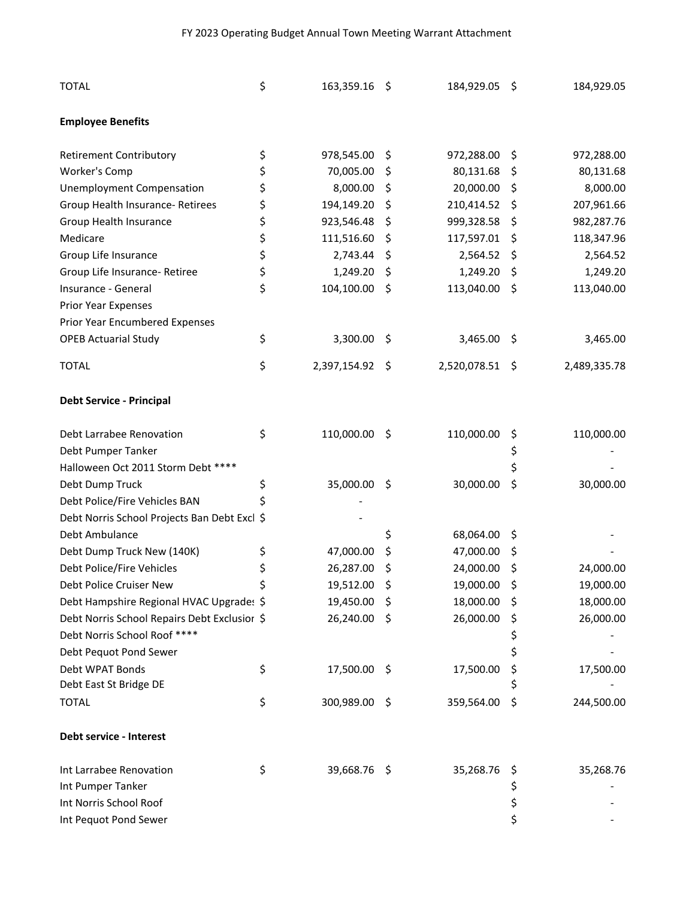## FY 2023 Operating Budget Annual Town Meeting Warrant Attachment

| <b>TOTAL</b>                                 | \$<br>163,359.16 \$   |    | 184,929.05 \$   |     | 184,929.05   |
|----------------------------------------------|-----------------------|----|-----------------|-----|--------------|
| <b>Employee Benefits</b>                     |                       |    |                 |     |              |
| <b>Retirement Contributory</b>               | \$<br>978,545.00      | \$ | 972,288.00      | \$  | 972,288.00   |
| Worker's Comp                                | \$<br>70,005.00       | \$ | 80,131.68       | \$  | 80,131.68    |
| <b>Unemployment Compensation</b>             | \$<br>8,000.00        | \$ | 20,000.00       | \$  | 8,000.00     |
| Group Health Insurance- Retirees             | \$<br>194,149.20      | \$ | 210,414.52      | \$, | 207,961.66   |
| Group Health Insurance                       | \$<br>923,546.48      | \$ | 999,328.58      | \$  | 982,287.76   |
| Medicare                                     | \$<br>111,516.60      | \$ | 117,597.01      | \$  | 118,347.96   |
| Group Life Insurance                         | \$<br>2,743.44        | Ş  | 2,564.52        | \$  | 2,564.52     |
| Group Life Insurance- Retiree                | \$<br>1,249.20        | \$ | 1,249.20        | \$  | 1,249.20     |
| Insurance - General                          | \$<br>104,100.00      | \$ | 113,040.00      | \$  | 113,040.00   |
| Prior Year Expenses                          |                       |    |                 |     |              |
| Prior Year Encumbered Expenses               |                       |    |                 |     |              |
| <b>OPEB Actuarial Study</b>                  | \$<br>3,300.00        | \$ | 3,465.00        | \$  | 3,465.00     |
| <b>TOTAL</b>                                 | \$<br>2,397,154.92 \$ |    | 2,520,078.51 \$ |     | 2,489,335.78 |
| <b>Debt Service - Principal</b>              |                       |    |                 |     |              |
| Debt Larrabee Renovation                     | \$<br>110,000.00      | \$ | 110,000.00      | \$  | 110,000.00   |
| Debt Pumper Tanker                           |                       |    |                 | \$  |              |
| Halloween Oct 2011 Storm Debt ****           |                       |    |                 | \$  |              |
| Debt Dump Truck                              | \$<br>35,000.00       | \$ | 30,000.00       | \$  | 30,000.00    |
| Debt Police/Fire Vehicles BAN                | \$                    |    |                 |     |              |
| Debt Norris School Projects Ban Debt Excl \$ |                       |    |                 |     |              |
| Debt Ambulance                               |                       | \$ | 68,064.00       | \$  |              |
| Debt Dump Truck New (140K)                   | \$<br>47,000.00       | \$ | 47,000.00       | \$  |              |
| Debt Police/Fire Vehicles                    | \$<br>26,287.00       | \$ | 24,000.00       | \$, | 24,000.00    |
| Debt Police Cruiser New                      | \$<br>19,512.00       | \$ | 19,000.00       | \$  | 19,000.00    |
| Debt Hampshire Regional HVAC Upgrade: \$     | 19,450.00             | \$ | 18,000.00       | \$  | 18,000.00    |
| Debt Norris School Repairs Debt Exclusior \$ | 26,240.00 \$          |    | 26,000.00       | \$  | 26,000.00    |
| Debt Norris School Roof ****                 |                       |    |                 | \$  |              |
| Debt Pequot Pond Sewer                       |                       |    |                 | \$  |              |
| Debt WPAT Bonds                              | \$<br>17,500.00 \$    |    | 17,500.00       | \$  | 17,500.00    |
| Debt East St Bridge DE                       |                       |    |                 |     |              |
| <b>TOTAL</b>                                 | \$<br>300,989.00      | \$ | 359,564.00      | \$  | 244,500.00   |
| Debt service - Interest                      |                       |    |                 |     |              |
| Int Larrabee Renovation                      | \$<br>39,668.76 \$    |    | 35,268.76       | Ş   | 35,268.76    |
| Int Pumper Tanker                            |                       |    |                 | \$  |              |
| Int Norris School Roof                       |                       |    |                 | \$  |              |
| Int Pequot Pond Sewer                        |                       |    |                 | \$  |              |